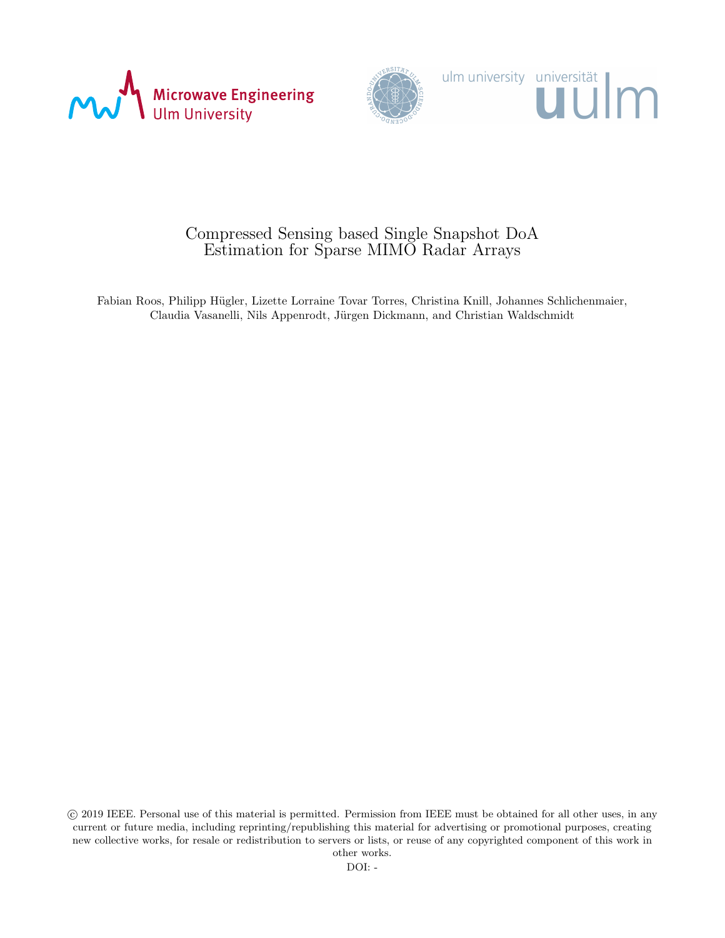



## Compressed Sensing based Single Snapshot DoA Estimation for Sparse MIMO Radar Arrays

Fabian Roos, Philipp Hügler, Lizette Lorraine Tovar Torres, Christina Knill, Johannes Schlichenmaier, Claudia Vasanelli, Nils Appenrodt, Jürgen Dickmann, and Christian Waldschmidt

 c 2019 IEEE. Personal use of this material is permitted. Permission from IEEE must be obtained for all other uses, in any current or future media, including reprinting/republishing this material for advertising or promotional purposes, creating new collective works, for resale or redistribution to servers or lists, or reuse of any copyrighted component of this work in other works.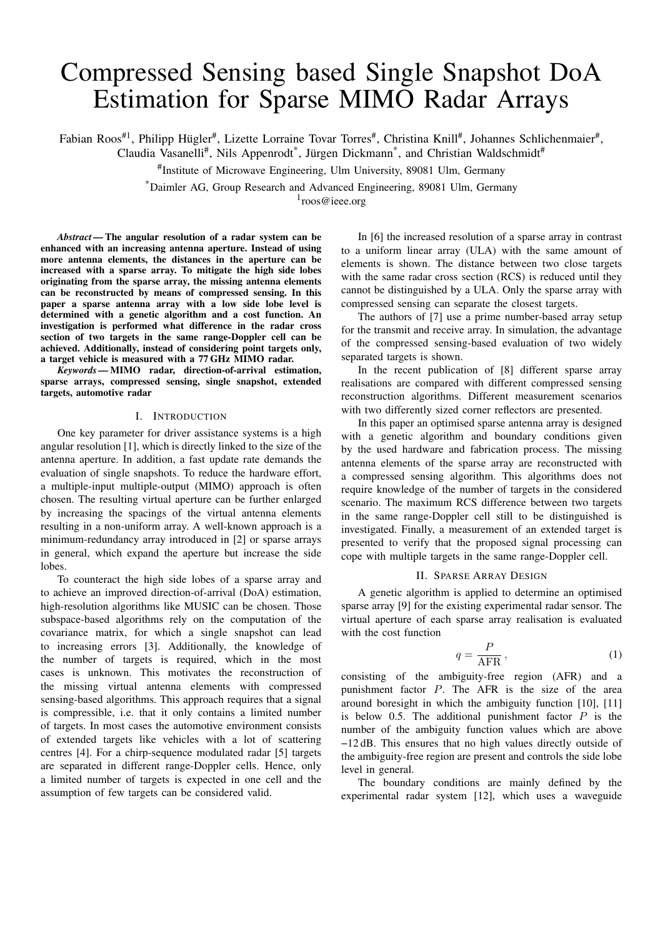# Compressed Sensing based Single Snapshot DoA Estimation for Sparse MIMO Radar Arrays

Fabian Roos<sup>#1</sup>, Philipp Hügler<sup>#</sup>, Lizette Lorraine Tovar Torres<sup>#</sup>, Christina Knill<sup>#</sup>, Johannes Schlichenmaier<sup>#</sup>,

Claudia Vasanelli<sup>#</sup>, Nils Appenrodt<sup>\*</sup>, Jürgen Dickmann<sup>\*</sup>, and Christian Waldschmidt<sup>#</sup>

# Institute of Microwave Engineering, Ulm University, 89081 Ulm, Germany

\*Daimler AG, Group Research and Advanced Engineering, 89081 Ulm, Germany

1 roos@ieee.org

*Abstract —*The angular resolution of a radar system can be enhanced with an increasing antenna aperture. Instead of using more antenna elements, the distances in the aperture can be increased with a sparse array. To mitigate the high side lobes originating from the sparse array, the missing antenna elements can be reconstructed by means of compressed sensing. In this paper a sparse antenna array with a low side lobe level is determined with a genetic algorithm and a cost function. An investigation is performed what difference in the radar cross section of two targets in the same range-Doppler cell can be achieved. Additionally, instead of considering point targets only, a target vehicle is measured with a 77 GHz MIMO radar.

*Keywords —*MIMO radar, direction-of-arrival estimation, sparse arrays, compressed sensing, single snapshot, extended targets, automotive radar

#### I. INTRODUCTION

One key parameter for driver assistance systems is a high angular resolution [1], which is directly linked to the size of the antenna aperture. In addition, a fast update rate demands the evaluation of single snapshots. To reduce the hardware effort, a multiple-input multiple-output (MIMO) approach is often chosen. The resulting virtual aperture can be further enlarged by increasing the spacings of the virtual antenna elements resulting in a non-uniform array. A well-known approach is a minimum-redundancy array introduced in [2] or sparse arrays in general, which expand the aperture but increase the side lobes.

To counteract the high side lobes of a sparse array and to achieve an improved direction-of-arrival (DoA) estimation, high-resolution algorithms like MUSIC can be chosen. Those subspace-based algorithms rely on the computation of the covariance matrix, for which a single snapshot can lead to increasing errors [3]. Additionally, the knowledge of the number of targets is required, which in the most cases is unknown. This motivates the reconstruction of the missing virtual antenna elements with compressed sensing-based algorithms. This approach requires that a signal is compressible, i.e. that it only contains a limited number of targets. In most cases the automotive environment consists of extended targets like vehicles with a lot of scattering centres [4]. For a chirp-sequence modulated radar [5] targets are separated in different range-Doppler cells. Hence, only a limited number of targets is expected in one cell and the assumption of few targets can be considered valid.

In [6] the increased resolution of a sparse array in contrast to a uniform linear array (ULA) with the same amount of elements is shown. The distance between two close targets with the same radar cross section (RCS) is reduced until they cannot be distinguished by a ULA. Only the sparse array with compressed sensing can separate the closest targets.

The authors of [7] use a prime number-based array setup for the transmit and receive array. In simulation, the advantage of the compressed sensing-based evaluation of two widely separated targets is shown.

In the recent publication of [8] different sparse array realisations are compared with different compressed sensing reconstruction algorithms. Different measurement scenarios with two differently sized corner reflectors are presented.

In this paper an optimised sparse antenna array is designed with a genetic algorithm and boundary conditions given by the used hardware and fabrication process. The missing antenna elements of the sparse array are reconstructed with a compressed sensing algorithm. This algorithms does not require knowledge of the number of targets in the considered scenario. The maximum RCS difference between two targets in the same range-Doppler cell still to be distinguished is investigated. Finally, a measurement of an extended target is presented to verify that the proposed signal processing can cope with multiple targets in the same range-Doppler cell.

#### II. SPARSE ARRAY DESIGN

A genetic algorithm is applied to determine an optimised sparse array [9] for the existing experimental radar sensor. The virtual aperture of each sparse array realisation is evaluated with the cost function

$$
q = \frac{P}{\text{AFR}},\tag{1}
$$

consisting of the ambiguity-free region (AFR) and a punishment factor P. The AFR is the size of the area around boresight in which the ambiguity function [10], [11] is below 0.5. The additional punishment factor  $P$  is the number of the ambiguity function values which are above −12 dB. This ensures that no high values directly outside of the ambiguity-free region are present and controls the side lobe level in general.

The boundary conditions are mainly defined by the experimental radar system [12], which uses a waveguide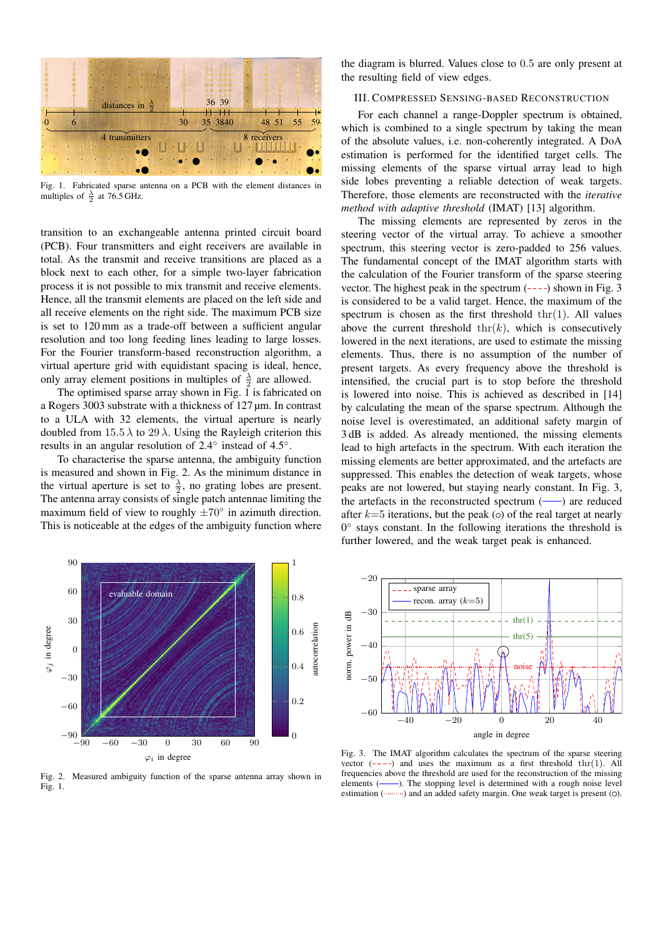

Fig. 1. Fabricated sparse antenna on a PCB with the element distances in multiples of  $\frac{\lambda}{2}$  at 76.5 GHz.

transition to an exchangeable antenna printed circuit board (PCB). Four transmitters and eight receivers are available in total. As the transmit and receive transitions are placed as a block next to each other, for a simple two-layer fabrication process it is not possible to mix transmit and receive elements. Hence, all the transmit elements are placed on the left side and all receive elements on the right side. The maximum PCB size is set to 120 mm as a trade-off between a sufficient angular resolution and too long feeding lines leading to large losses. For the Fourier transform-based reconstruction algorithm, a virtual aperture grid with equidistant spacing is ideal, hence, only array element positions in multiples of  $\frac{\lambda}{2}$  are allowed.

The optimised sparse array shown in Fig. 1 is fabricated on a Rogers 3003 substrate with a thickness of 127 µm. In contrast to a ULA with 32 elements, the virtual aperture is nearly doubled from  $15.5 \lambda$  to  $29 \lambda$ . Using the Rayleigh criterion this results in an angular resolution of 2.4<sup>°</sup> instead of 4.5<sup>°</sup>.

To characterise the sparse antenna, the ambiguity function is measured and shown in Fig. 2. As the minimum distance in the virtual aperture is set to  $\frac{\lambda}{2}$ , no grating lobes are present. The antenna array consists of single patch antennae limiting the maximum field of view to roughly  $\pm 70^\circ$  in azimuth direction. This is noticeable at the edges of the ambiguity function where the diagram is blurred. Values close to 0.5 are only present at the resulting field of view edges.

#### III. COMPRESSED SENSING-BASED RECONSTRUCTION

For each channel a range-Doppler spectrum is obtained, which is combined to a single spectrum by taking the mean of the absolute values, i.e. non-coherently integrated. A DoA estimation is performed for the identified target cells. The missing elements of the sparse virtual array lead to high side lobes preventing a reliable detection of weak targets. Therefore, those elements are reconstructed with the *iterative method with adaptive threshold* (IMAT) [13] algorithm.

The missing elements are represented by zeros in the steering vector of the virtual array. To achieve a smoother spectrum, this steering vector is zero-padded to 256 values. The fundamental concept of the IMAT algorithm starts with the calculation of the Fourier transform of the sparse steering vector. The highest peak in the spectrum  $(- - -)$  shown in Fig. 3 is considered to be a valid target. Hence, the maximum of the spectrum is chosen as the first threshold  $\text{thr}(1)$ . All values above the current threshold  $\text{thr}(k)$ , which is consecutively lowered in the next iterations, are used to estimate the missing elements. Thus, there is no assumption of the number of present targets. As every frequency above the threshold is intensified, the crucial part is to stop before the threshold is lowered into noise. This is achieved as described in [14] by calculating the mean of the sparse spectrum. Although the noise level is overestimated, an additional safety margin of 3 dB is added. As already mentioned, the missing elements lead to high artefacts in the spectrum. With each iteration the missing elements are better approximated, and the artefacts are suppressed. This enables the detection of weak targets, whose peaks are not lowered, but staying nearly constant. In Fig. 3, the artefacts in the reconstructed spectrum  $(-)$  are reduced after  $k=5$  iterations, but the peak ( $\circ$ ) of the real target at nearly 0 ◦ stays constant. In the following iterations the threshold is further lowered, and the weak target peak is enhanced.



Fig. 2. Measured ambiguity function of the sparse antenna array shown in Fig. 1.



Fig. 3. The IMAT algorithm calculates the spectrum of the sparse steering vector  $(- - -)$  and uses the maximum as a first threshold thr(1). All frequencies above the threshold are used for the reconstruction of the missing elements (-). The stopping level is determined with a rough noise level estimation (  $\cdots$  ) and an added safety margin. One weak target is present (0).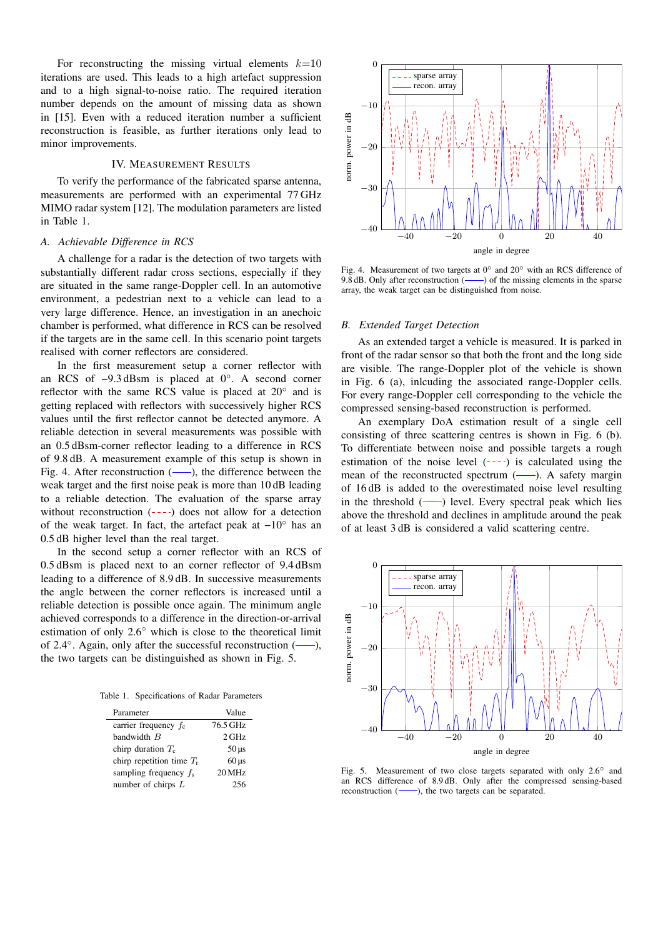For reconstructing the missing virtual elements  $k=10$ iterations are used. This leads to a high artefact suppression and to a high signal-to-noise ratio. The required iteration number depends on the amount of missing data as shown in [15]. Even with a reduced iteration number a sufficient reconstruction is feasible, as further iterations only lead to minor improvements.

#### IV. MEASUREMENT RESULTS

To verify the performance of the fabricated sparse antenna, measurements are performed with an experimental 77 GHz MIMO radar system [12]. The modulation parameters are listed in Table 1.

#### *A. Achievable Difference in RCS*

A challenge for a radar is the detection of two targets with substantially different radar cross sections, especially if they are situated in the same range-Doppler cell. In an automotive environment, a pedestrian next to a vehicle can lead to a very large difference. Hence, an investigation in an anechoic chamber is performed, what difference in RCS can be resolved if the targets are in the same cell. In this scenario point targets realised with corner reflectors are considered.

In the first measurement setup a corner reflector with an RCS of −9.3 dBsm is placed at 0◦ . A second corner reflector with the same RCS value is placed at  $20^\circ$  and is getting replaced with reflectors with successively higher RCS values until the first reflector cannot be detected anymore. A reliable detection in several measurements was possible with an 0.5 dBsm-corner reflector leading to a difference in RCS of 9.8 dB. A measurement example of this setup is shown in Fig. 4. After reconstruction  $(-)$ , the difference between the weak target and the first noise peak is more than 10 dB leading to a reliable detection. The evaluation of the sparse array without reconstruction  $(- - )$  does not allow for a detection of the weak target. In fact, the artefact peak at −10◦ has an 0.5 dB higher level than the real target.

In the second setup a corner reflector with an RCS of 0.5 dBsm is placed next to an corner reflector of 9.4 dBsm leading to a difference of 8.9 dB. In successive measurements the angle between the corner reflectors is increased until a reliable detection is possible once again. The minimum angle achieved corresponds to a difference in the direction-or-arrival estimation of only 2.6◦ which is close to the theoretical limit of 2.4 $\degree$ . Again, only after the successful reconstruction (---), the two targets can be distinguished as shown in Fig. 5.

Table 1. Specifications of Radar Parameters

| Parameter                   | Value              |
|-----------------------------|--------------------|
| carrier frequency $f_c$     | 76.5 GHz           |
| bandwidth $B$               | $2$ GHz            |
| chirp duration $T_c$        | $50 \,\mu s$       |
| chirp repetition time $T_r$ | $60 \,\mathrm{us}$ |
| sampling frequency $f_s$    | 20 MHz             |
| number of chirps $L$        | 256                |



Fig. 4. Measurement of two targets at 0◦ and 20◦ with an RCS difference of 9.8 dB. Only after reconstruction  $($ — $)$  of the missing elements in the sparse array, the weak target can be distinguished from noise.

#### *B. Extended Target Detection*

As an extended target a vehicle is measured. It is parked in front of the radar sensor so that both the front and the long side are visible. The range-Doppler plot of the vehicle is shown in Fig. 6 (a), inlcuding the associated range-Doppler cells. For every range-Doppler cell corresponding to the vehicle the compressed sensing-based reconstruction is performed.

An exemplary DoA estimation result of a single cell consisting of three scattering centres is shown in Fig. 6 (b). To differentiate between noise and possible targets a rough estimation of the noise level  $(- - -)$  is calculated using the mean of the reconstructed spectrum  $(-)$ . A safety margin of 16 dB is added to the overestimated noise level resulting in the threshold  $($ — $)$  level. Every spectral peak which lies above the threshold and declines in amplitude around the peak of at least 3 dB is considered a valid scattering centre.



Fig. 5. Measurement of two close targets separated with only 2.6◦ and an RCS difference of 8.9 dB. Only after the compressed sensing-based reconstruction  $($ , the two targets can be separated.